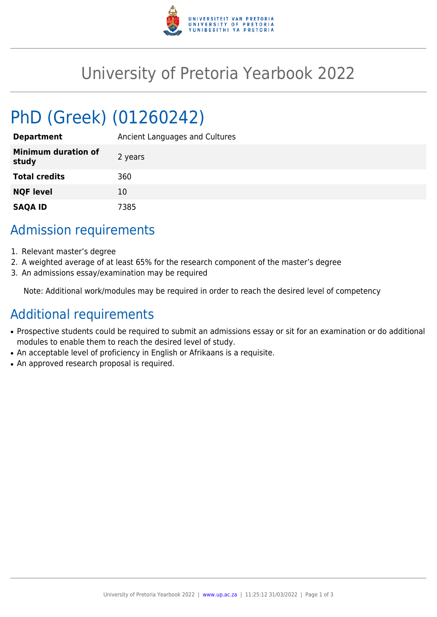

# University of Pretoria Yearbook 2022

# PhD (Greek) (01260242)

| <b>Department</b>                   | Ancient Languages and Cultures |
|-------------------------------------|--------------------------------|
| <b>Minimum duration of</b><br>study | 2 years                        |
| <b>Total credits</b>                | 360                            |
| <b>NQF level</b>                    | 10                             |
| <b>SAQA ID</b>                      | 7385                           |

## Admission requirements

- 1. Relevant master's degree
- 2. A weighted average of at least 65% for the research component of the master's degree
- 3. An admissions essay/examination may be required

Note: Additional work/modules may be required in order to reach the desired level of competency

## Additional requirements

- Prospective students could be required to submit an admissions essay or sit for an examination or do additional modules to enable them to reach the desired level of study.
- An acceptable level of proficiency in English or Afrikaans is a requisite.
- An approved research proposal is required.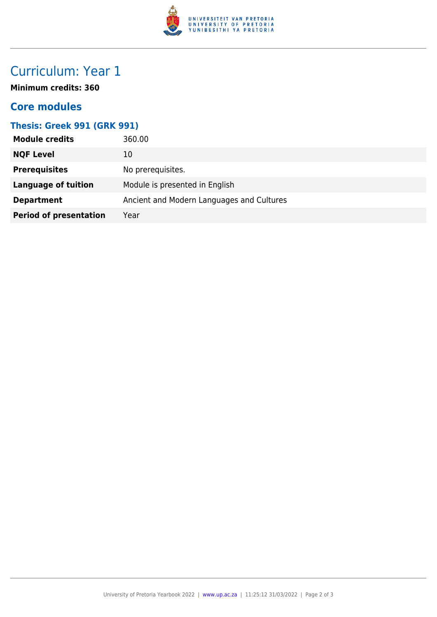

# Curriculum: Year 1

**Minimum credits: 360**

### **Core modules**

#### **Thesis: Greek 991 (GRK 991)**

| <b>Module credits</b>         | 360.00                                    |
|-------------------------------|-------------------------------------------|
| <b>NQF Level</b>              | 10                                        |
| <b>Prerequisites</b>          | No prerequisites.                         |
| <b>Language of tuition</b>    | Module is presented in English            |
| <b>Department</b>             | Ancient and Modern Languages and Cultures |
| <b>Period of presentation</b> | Year                                      |